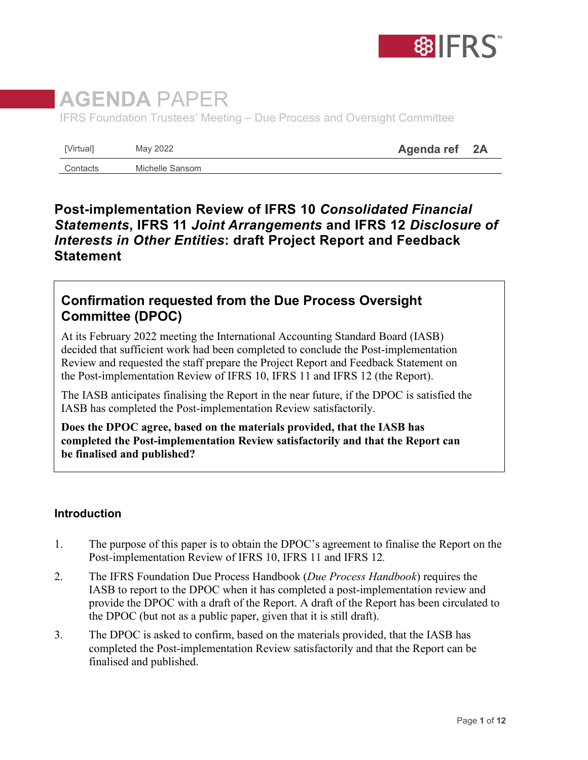

# **AGENDA** PAPER

IFRS Foundation Trustees' Meeting – Due Process and Oversight Committee

| [Virtual] | May 2022        | Agenda ref | 2A |
|-----------|-----------------|------------|----|
| Contacts  | Michelle Sansom |            |    |

## **Post-implementation Review of IFRS 10** *Consolidated Financial Statements***, IFRS 11** *Joint Arrangements* **and IFRS 12** *Disclosure of Interests in Other Entities***: draft Project Report and Feedback Statement**

## **Confirmation requested from the Due Process Oversight Committee (DPOC)**

At its February 2022 meeting the International Accounting Standard Board (IASB) decided that sufficient work had been completed to conclude the Post-implementation Review and requested the staff prepare the Project Report and Feedback Statement on the Post-implementation Review of IFRS 10, IFRS 11 and IFRS 12 (the Report).

The IASB anticipates finalising the Report in the near future, if the DPOC is satisfied the IASB has completed the Post-implementation Review satisfactorily.

**Does the DPOC agree, based on the materials provided, that the IASB has completed the Post-implementation Review satisfactorily and that the Report can be finalised and published?**

#### **Introduction**

- 1. The purpose of this paper is to obtain the DPOC's agreement to finalise the Report on the Post*-*implementation Review of IFRS 10, IFRS 11 and IFRS 12*.*
- 2. The IFRS Foundation Due Process Handbook (*Due Process Handbook*) requires the IASB to report to the DPOC when it has completed a post-implementation review and provide the DPOC with a draft of the Report. A draft of the Report has been circulated to the DPOC (but not as a public paper, given that it is still draft).
- 3. The DPOC is asked to confirm, based on the materials provided, that the IASB has completed the Post-implementation Review satisfactorily and that the Report can be finalised and published.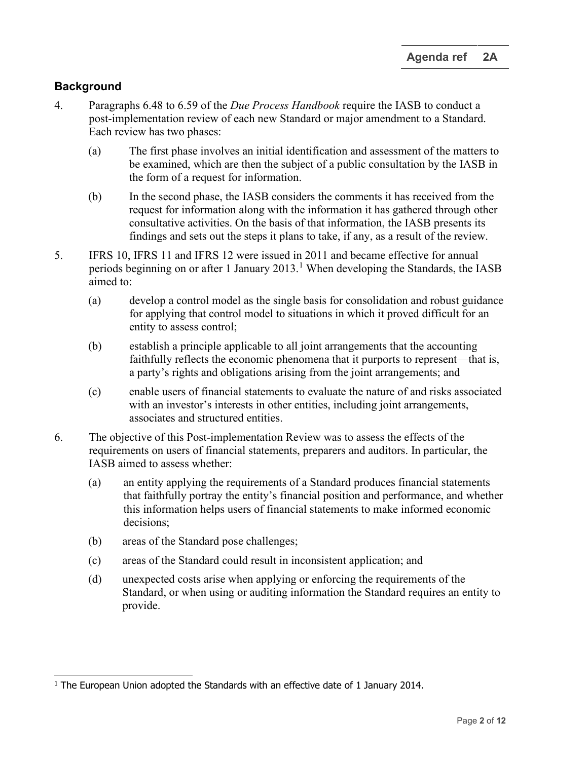### **Background**

- 4. Paragraphs 6.48 to 6.59 of the *Due Process Handbook* require the IASB to conduct a post-implementation review of each new Standard or major amendment to a Standard. Each review has two phases:
	- (a) The first phase involves an initial identification and assessment of the matters to be examined, which are then the subject of a public consultation by the IASB in the form of a request for information.
	- (b) In the second phase, the IASB considers the comments it has received from the request for information along with the information it has gathered through other consultative activities. On the basis of that information, the IASB presents its findings and sets out the steps it plans to take, if any, as a result of the review.
- 5. IFRS 10, IFRS 11 and IFRS 12 were issued in 2011 and became effective for annual periods beginning on or after [1](#page-1-0) January 2013.<sup>1</sup> When developing the Standards, the IASB aimed to:
	- (a) develop a control model as the single basis for consolidation and robust guidance for applying that control model to situations in which it proved difficult for an entity to assess control;
	- (b) establish a principle applicable to all joint arrangements that the accounting faithfully reflects the economic phenomena that it purports to represent—that is, a party's rights and obligations arising from the joint arrangements; and
	- (c) enable users of financial statements to evaluate the nature of and risks associated with an investor's interests in other entities, including joint arrangements, associates and structured entities.
- 6. The objective of this Post-implementation Review was to assess the effects of the requirements on users of financial statements, preparers and auditors. In particular, the IASB aimed to assess whether:
	- (a) an entity applying the requirements of a Standard produces financial statements that faithfully portray the entity's financial position and performance, and whether this information helps users of financial statements to make informed economic decisions;
	- (b) areas of the Standard pose challenges;
	- (c) areas of the Standard could result in inconsistent application; and
	- (d) unexpected costs arise when applying or enforcing the requirements of the Standard, or when using or auditing information the Standard requires an entity to provide.

<span id="page-1-0"></span> $1$  The European Union adopted the Standards with an effective date of 1 January 2014.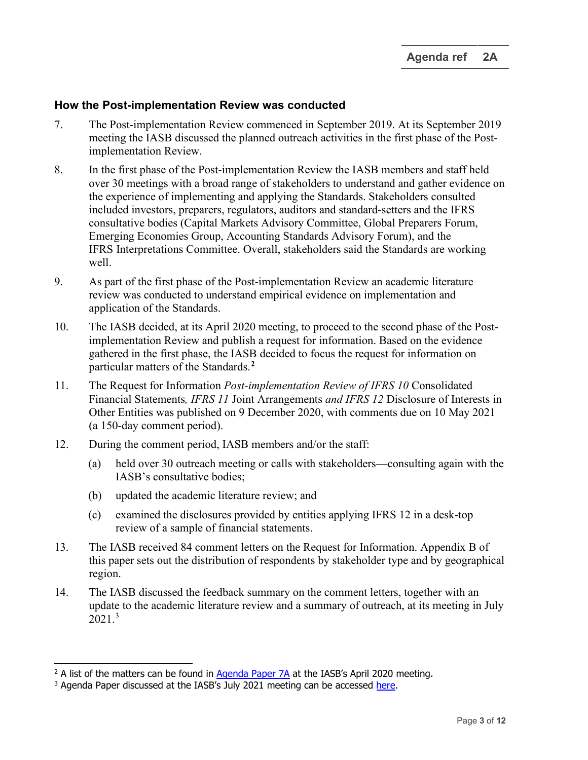#### **How the Post-implementation Review was conducted**

- 7. The Post-implementation Review commenced in September 2019. At its September 2019 meeting the IASB discussed the planned outreach activities in the first phase of the Postimplementation Review.
- 8. In the first phase of the Post-implementation Review the IASB members and staff held over 30 meetings with a broad range of stakeholders to understand and gather evidence on the experience of implementing and applying the Standards. Stakeholders consulted included investors, preparers, regulators, auditors and standard-setters and the IFRS consultative bodies (Capital Markets Advisory Committee, Global Preparers Forum, Emerging Economies Group, Accounting Standards Advisory Forum), and the IFRS Interpretations Committee. Overall, stakeholders said the Standards are working well.
- 9. As part of the first phase of the Post-implementation Review an academic literature review was conducted to understand empirical evidence on implementation and application of the Standards.
- 10. The IASB decided, at its April 2020 meeting, to proceed to the second phase of the Postimplementation Review and publish a request for information. Based on the evidence gathered in the first phase, the IASB decided to focus the request for information on particular matters of the Standards.**[2](#page-2-0)**
- 11. The Request for Information *Post-implementation Review of IFRS 10* Consolidated Financial Statements*, IFRS 11* Joint Arrangements *and IFRS 12* Disclosure of Interests in Other Entities was published on 9 December 2020, with comments due on 10 May 2021 (a 150-day comment period).
- 12. During the comment period, IASB members and/or the staff:
	- (a) held over 30 outreach meeting or calls with stakeholders—consulting again with the IASB's consultative bodies;
	- (b) updated the academic literature review; and
	- (c) examined the disclosures provided by entities applying IFRS 12 in a desk-top review of a sample of financial statements.
- 13. The IASB received 84 comment letters on the Request for Information. Appendix B of this paper sets out the distribution of respondents by stakeholder type and by geographical region.
- 14. The IASB discussed the feedback summary on the comment letters, together with an update to the academic literature review and a summary of outreach, at its meeting in July  $2021.<sup>3</sup>$  $2021.<sup>3</sup>$  $2021.<sup>3</sup>$

<span id="page-2-0"></span><sup>&</sup>lt;sup>2</sup> A list of the matters can be found in [Agenda Paper](https://www.ifrs.org/content/dam/ifrs/meetings/2020/april/iasb/ap7a-pir-of-ifrs-10-ifrs-11-and-ifrs-12.pdf) 7A at the IASB's April 2020 meeting.

<span id="page-2-1"></span><sup>&</sup>lt;sup>3</sup> Agenda Paper discussed at the IASB's July 2021 meeting can be accessed [here.](https://www.ifrs.org/news-and-events/calendar/2021/july/international-accounting-standards-board/)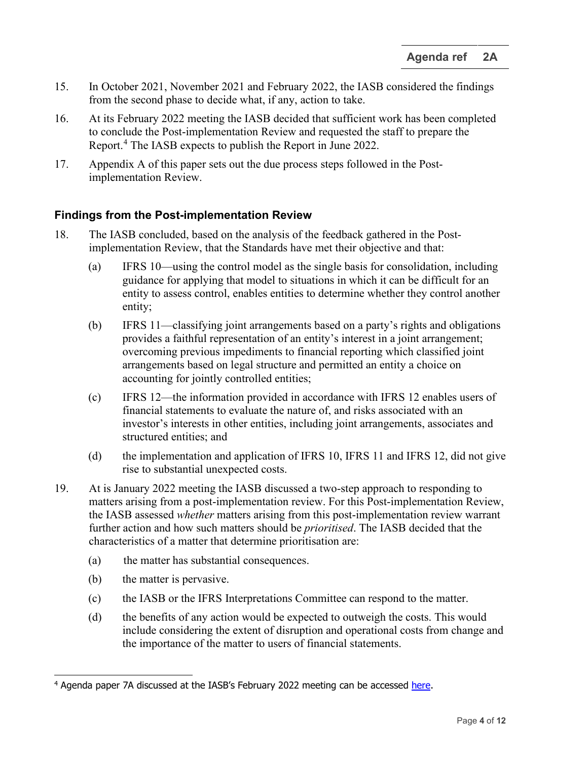- <span id="page-3-1"></span>15. In October 2021, November 2021 and February 2022, the IASB considered the findings from the second phase to decide what, if any, action to take.
- 16. At its February 2022 meeting the IASB decided that sufficient work has been completed to conclude the Post-implementation Review and requested the staff to prepare the Report.<sup>[4](#page-3-0)</sup> The IASB expects to publish the Report in June 2022.
- 17. Appendix A of this paper sets out the due process steps followed in the Postimplementation Review.

#### **Findings from the Post-implementation Review**

- 18. The IASB concluded, based on the analysis of the feedback gathered in the Postimplementation Review, that the Standards have met their objective and that:
	- (a) IFRS 10—using the control model as the single basis for consolidation, including guidance for applying that model to situations in which it can be difficult for an entity to assess control, enables entities to determine whether they control another entity;
	- (b) IFRS 11—classifying joint arrangements based on a party's rights and obligations provides a faithful representation of an entity's interest in a joint arrangement; overcoming previous impediments to financial reporting which classified joint arrangements based on legal structure and permitted an entity a choice on accounting for jointly controlled entities;
	- (c) IFRS 12—the information provided in accordance with IFRS 12 enables users of financial statements to evaluate the nature of, and risks associated with an investor's interests in other entities, including joint arrangements, associates and structured entities; and
	- (d) the implementation and application of IFRS 10, IFRS 11 and IFRS 12, did not give rise to substantial unexpected costs.
- 19. At is January 2022 meeting the IASB discussed a two-step approach to responding to matters arising from a post-implementation review. For this Post-implementation Review, the IASB assessed *whether* matters arising from this post-implementation review warrant further action and how such matters should be *prioritised*. The IASB decided that the characteristics of a matter that determine prioritisation are:
	- (a) the matter has substantial consequences.
	- (b) the matter is pervasive.
	- (c) the IASB or the IFRS Interpretations Committee can respond to the matter.
	- (d) the benefits of any action would be expected to outweigh the costs. This would include considering the extent of disruption and operational costs from change and the importance of the matter to users of financial statements.

<span id="page-3-0"></span><sup>&</sup>lt;sup>4</sup> Agenda paper 7A discussed at the IASB's February 2022 meeting can be accessed [here.](https://www.ifrs.org/content/dam/ifrs/meetings/2022/february/iasb/ap7a-next-step-pir-ifrs-10-11-12.pdf)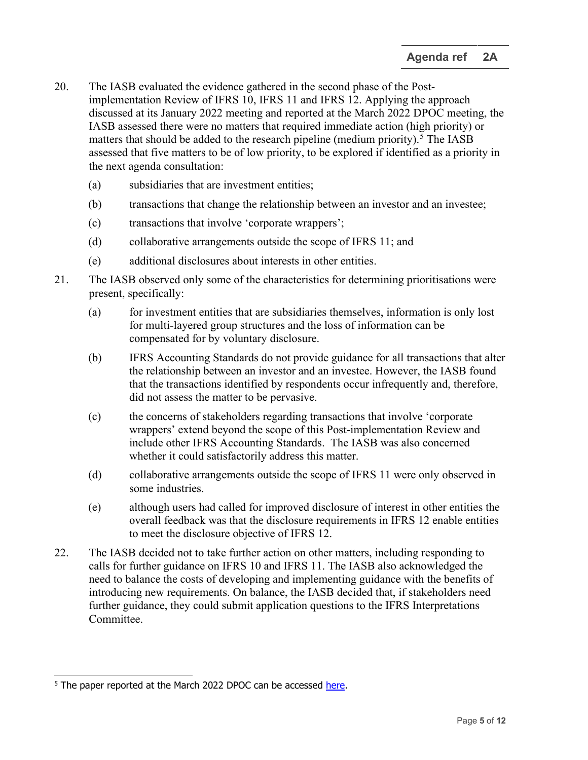- 20. The IASB evaluated the evidence gathered in the second phase of the Postimplementation Review of IFRS 10, IFRS 11 and IFRS 12. Applying the approach discussed at its January 2022 meeting and reported at the March 2022 DPOC meeting, the IASB assessed there were no matters that required immediate action (high priority) or matters that should be added to the research pipeline (medium priority).<sup>[5](#page-4-0)</sup> The IASB assessed that five matters to be of low priority, to be explored if identified as a priority in the next agenda consultation:
	- (a) subsidiaries that are investment entities;
	- (b) transactions that change the relationship between an investor and an investee;
	- (c) transactions that involve 'corporate wrappers';
	- (d) collaborative arrangements outside the scope of IFRS 11; and
	- (e) additional disclosures about interests in other entities.
- <span id="page-4-1"></span>21. The IASB observed only some of the characteristics for determining prioritisations were present, specifically:
	- (a) for investment entities that are subsidiaries themselves, information is only lost for multi-layered group structures and the loss of information can be compensated for by voluntary disclosure.
	- (b) IFRS Accounting Standards do not provide guidance for all transactions that alter the relationship between an investor and an investee. However, the IASB found that the transactions identified by respondents occur infrequently and, therefore, did not assess the matter to be pervasive.
	- (c) the concerns of stakeholders regarding transactions that involve 'corporate wrappers' extend beyond the scope of this Post-implementation Review and include other IFRS Accounting Standards. The IASB was also concerned whether it could satisfactorily address this matter.
	- (d) collaborative arrangements outside the scope of IFRS 11 were only observed in some industries.
	- (e) although users had called for improved disclosure of interest in other entities the overall feedback was that the disclosure requirements in IFRS 12 enable entities to meet the disclosure objective of IFRS 12.
- 22. The IASB decided not to take further action on other matters, including responding to calls for further guidance on IFRS 10 and IFRS 11. The IASB also acknowledged the need to balance the costs of developing and implementing guidance with the benefits of introducing new requirements. On balance, the IASB decided that, if stakeholders need further guidance, they could submit application questions to the IFRS Interpretations Committee.

<span id="page-4-0"></span><sup>&</sup>lt;sup>5</sup> The paper reported at the March 2022 DPOC can be accessed [here.](https://www.ifrs.org/content/dam/ifrs/meetings/2022/march/dpoc/ap1b-dpoc-iasb-technical-activities.pdf)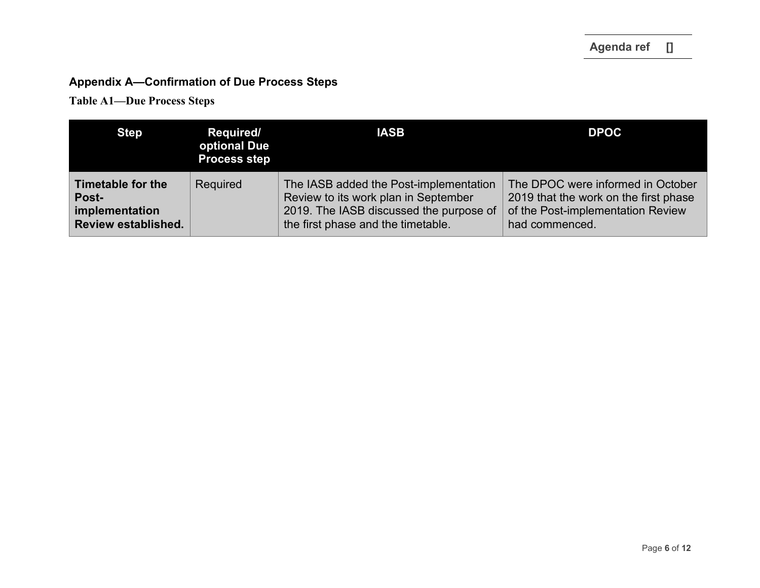# **Appendix A—Confirmation of Due Process Steps**

**Table A1—Due Process Steps**

| <b>Step</b>                | <b>Required/</b><br>optional Due<br><b>Process step</b> | <b>IASB</b>                             | <b>DPOC</b>                           |
|----------------------------|---------------------------------------------------------|-----------------------------------------|---------------------------------------|
| Timetable for the          | Required                                                | The IASB added the Post-implementation  | The DPOC were informed in October     |
| Post-                      |                                                         | Review to its work plan in September    | 2019 that the work on the first phase |
| implementation             |                                                         | 2019. The IASB discussed the purpose of | of the Post-implementation Review     |
| <b>Review established.</b> |                                                         | the first phase and the timetable.      | had commenced.                        |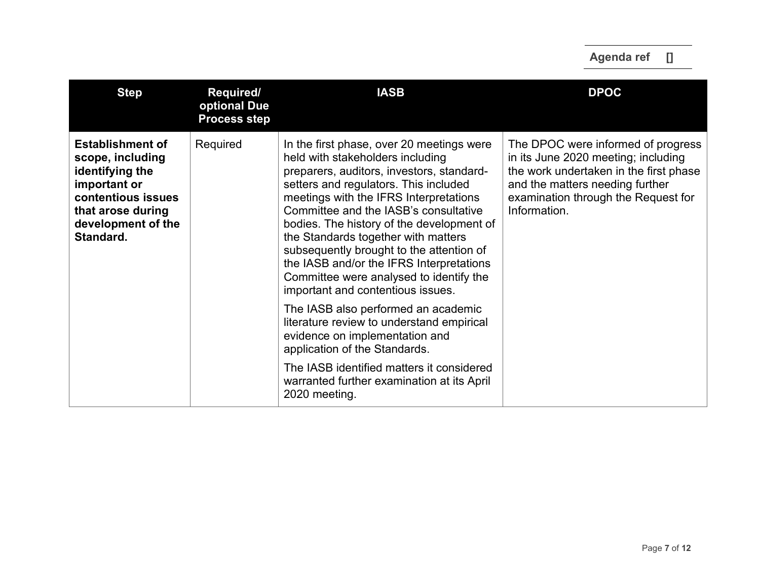| <b>Step</b>                                                                                                                                                  | Required/<br>optional Due<br><b>Process step</b> | <b>IASB</b>                                                                                                                                                                                                                                                                                                                                                                                                                                                                                                        | <b>DPOC</b>                                                                                                                                                                                                   |
|--------------------------------------------------------------------------------------------------------------------------------------------------------------|--------------------------------------------------|--------------------------------------------------------------------------------------------------------------------------------------------------------------------------------------------------------------------------------------------------------------------------------------------------------------------------------------------------------------------------------------------------------------------------------------------------------------------------------------------------------------------|---------------------------------------------------------------------------------------------------------------------------------------------------------------------------------------------------------------|
| <b>Establishment of</b><br>scope, including<br>identifying the<br>important or<br>contentious issues<br>that arose during<br>development of the<br>Standard. | Required                                         | In the first phase, over 20 meetings were<br>held with stakeholders including<br>preparers, auditors, investors, standard-<br>setters and regulators. This included<br>meetings with the IFRS Interpretations<br>Committee and the IASB's consultative<br>bodies. The history of the development of<br>the Standards together with matters<br>subsequently brought to the attention of<br>the IASB and/or the IFRS Interpretations<br>Committee were analysed to identify the<br>important and contentious issues. | The DPOC were informed of progress<br>in its June 2020 meeting; including<br>the work undertaken in the first phase<br>and the matters needing further<br>examination through the Request for<br>Information. |
|                                                                                                                                                              |                                                  | The IASB also performed an academic<br>literature review to understand empirical<br>evidence on implementation and<br>application of the Standards.                                                                                                                                                                                                                                                                                                                                                                |                                                                                                                                                                                                               |
|                                                                                                                                                              |                                                  | The IASB identified matters it considered<br>warranted further examination at its April<br>2020 meeting.                                                                                                                                                                                                                                                                                                                                                                                                           |                                                                                                                                                                                                               |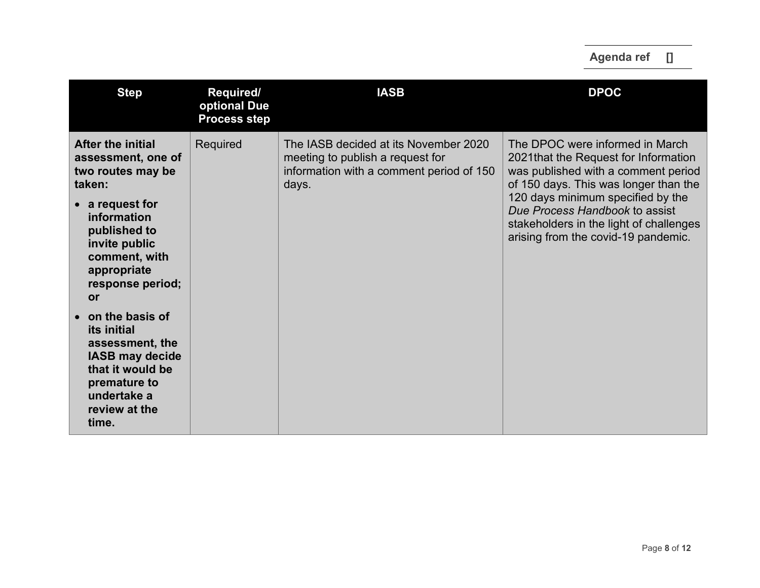| <b>Step</b>                                                                                                                                                     | Required/<br>optional Due<br><b>Process step</b> | <b>IASB</b>                                                                                                                    | <b>DPOC</b>                                                                                                                                              |
|-----------------------------------------------------------------------------------------------------------------------------------------------------------------|--------------------------------------------------|--------------------------------------------------------------------------------------------------------------------------------|----------------------------------------------------------------------------------------------------------------------------------------------------------|
| <b>After the initial</b><br>assessment, one of<br>two routes may be<br>taken:                                                                                   | Required                                         | The IASB decided at its November 2020<br>meeting to publish a request for<br>information with a comment period of 150<br>days. | The DPOC were informed in March<br>2021 that the Request for Information<br>was published with a comment period<br>of 150 days. This was longer than the |
| $\bullet$ a request for<br>information<br>published to<br>invite public<br>comment, with<br>appropriate<br>response period;<br><b>or</b>                        |                                                  |                                                                                                                                | 120 days minimum specified by the<br>Due Process Handbook to assist<br>stakeholders in the light of challenges<br>arising from the covid-19 pandemic.    |
| on the basis of<br><i>its</i> initial<br>assessment, the<br><b>IASB may decide</b><br>that it would be<br>premature to<br>undertake a<br>review at the<br>time. |                                                  |                                                                                                                                |                                                                                                                                                          |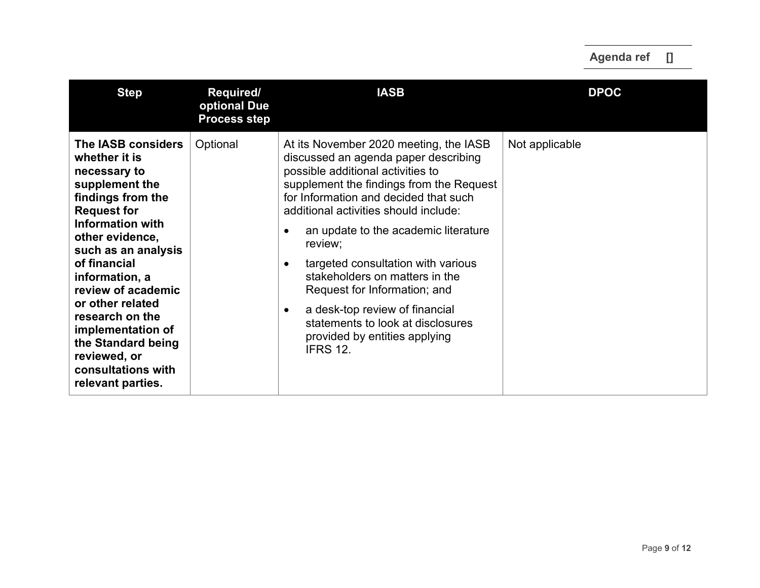| <b>Step</b>                                                                                                                                                                                                                                                                                                                                                                                | Required/<br>optional Due<br><b>Process step</b> | <b>IASB</b>                                                                                                                                                                                                                                                                                                                                                                                                                                                                                                                                                                    | <b>DPOC</b>    |
|--------------------------------------------------------------------------------------------------------------------------------------------------------------------------------------------------------------------------------------------------------------------------------------------------------------------------------------------------------------------------------------------|--------------------------------------------------|--------------------------------------------------------------------------------------------------------------------------------------------------------------------------------------------------------------------------------------------------------------------------------------------------------------------------------------------------------------------------------------------------------------------------------------------------------------------------------------------------------------------------------------------------------------------------------|----------------|
| The IASB considers<br>whether it is<br>necessary to<br>supplement the<br>findings from the<br><b>Request for</b><br><b>Information with</b><br>other evidence,<br>such as an analysis<br>of financial<br>information, a<br>review of academic<br>or other related<br>research on the<br>implementation of<br>the Standard being<br>reviewed, or<br>consultations with<br>relevant parties. | Optional                                         | At its November 2020 meeting, the IASB<br>discussed an agenda paper describing<br>possible additional activities to<br>supplement the findings from the Request<br>for Information and decided that such<br>additional activities should include:<br>an update to the academic literature<br>$\bullet$<br>review;<br>targeted consultation with various<br>$\bullet$<br>stakeholders on matters in the<br>Request for Information; and<br>a desk-top review of financial<br>$\bullet$<br>statements to look at disclosures<br>provided by entities applying<br><b>IFRS 12.</b> | Not applicable |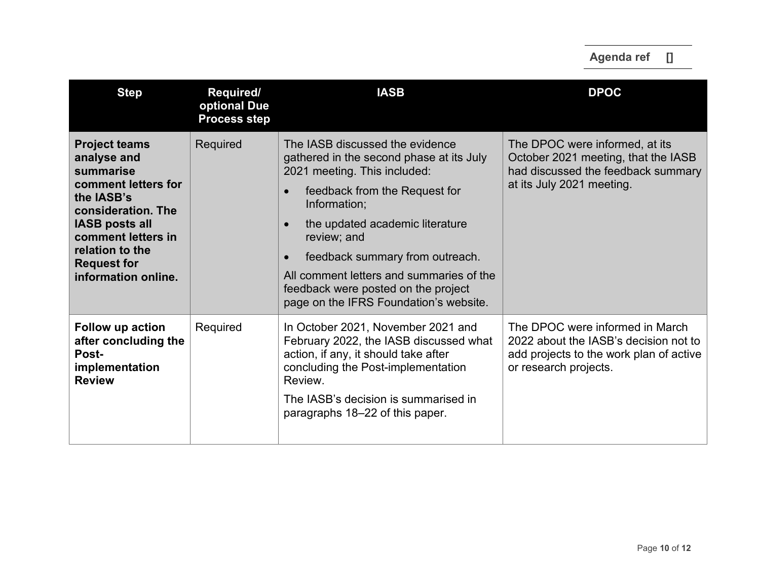| <b>Step</b>                                                                                                                                                                                                                | Required/<br>optional Due<br><b>Process step</b> | <b>IASB</b>                                                                                                                                                                                                                                                                                                                                                                                                           | <b>DPOC</b>                                                                                                                                  |
|----------------------------------------------------------------------------------------------------------------------------------------------------------------------------------------------------------------------------|--------------------------------------------------|-----------------------------------------------------------------------------------------------------------------------------------------------------------------------------------------------------------------------------------------------------------------------------------------------------------------------------------------------------------------------------------------------------------------------|----------------------------------------------------------------------------------------------------------------------------------------------|
| <b>Project teams</b><br>analyse and<br>summarise<br>comment letters for<br>the IASB's<br>consideration. The<br><b>IASB posts all</b><br>comment letters in<br>relation to the<br><b>Request for</b><br>information online. | Required                                         | The IASB discussed the evidence<br>gathered in the second phase at its July<br>2021 meeting. This included:<br>feedback from the Request for<br>$\bullet$<br>Information;<br>the updated academic literature<br>$\bullet$<br>review; and<br>feedback summary from outreach.<br>$\bullet$<br>All comment letters and summaries of the<br>feedback were posted on the project<br>page on the IFRS Foundation's website. | The DPOC were informed, at its<br>October 2021 meeting, that the IASB<br>had discussed the feedback summary<br>at its July 2021 meeting.     |
| Follow up action<br>after concluding the<br>Post-<br>implementation<br><b>Review</b>                                                                                                                                       | Required                                         | In October 2021, November 2021 and<br>February 2022, the IASB discussed what<br>action, if any, it should take after<br>concluding the Post-implementation<br>Review.<br>The IASB's decision is summarised in<br>paragraphs 18–22 of this paper.                                                                                                                                                                      | The DPOC were informed in March<br>2022 about the IASB's decision not to<br>add projects to the work plan of active<br>or research projects. |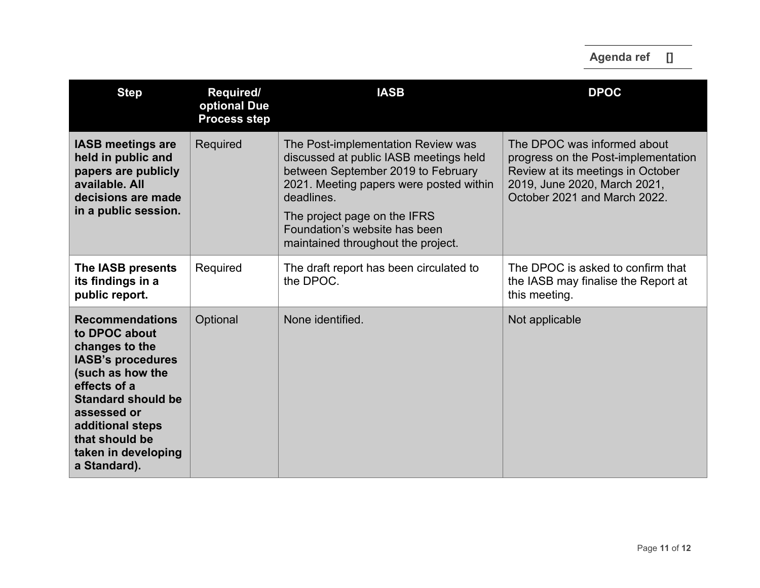| <b>Step</b>                                                                                                                                                                                                                                        | <b>Required/</b><br>optional Due<br><b>Process step</b> | <b>IASB</b>                                                                                                                                                                                                                                                                        | <b>DPOC</b>                                                                                                                                                             |
|----------------------------------------------------------------------------------------------------------------------------------------------------------------------------------------------------------------------------------------------------|---------------------------------------------------------|------------------------------------------------------------------------------------------------------------------------------------------------------------------------------------------------------------------------------------------------------------------------------------|-------------------------------------------------------------------------------------------------------------------------------------------------------------------------|
| <b>IASB meetings are</b><br>held in public and<br>papers are publicly<br>available, All<br>decisions are made<br>in a public session.                                                                                                              | Required                                                | The Post-implementation Review was<br>discussed at public IASB meetings held<br>between September 2019 to February<br>2021. Meeting papers were posted within<br>deadlines.<br>The project page on the IFRS<br>Foundation's website has been<br>maintained throughout the project. | The DPOC was informed about<br>progress on the Post-implementation<br>Review at its meetings in October<br>2019, June 2020, March 2021,<br>October 2021 and March 2022. |
| The IASB presents<br>its findings in a<br>public report.                                                                                                                                                                                           | Required                                                | The draft report has been circulated to<br>the DPOC.                                                                                                                                                                                                                               | The DPOC is asked to confirm that<br>the IASB may finalise the Report at<br>this meeting.                                                                               |
| <b>Recommendations</b><br>to DPOC about<br>changes to the<br><b>IASB's procedures</b><br>(such as how the<br>effects of a<br><b>Standard should be</b><br>assessed or<br>additional steps<br>that should be<br>taken in developing<br>a Standard). | Optional                                                | None identified.                                                                                                                                                                                                                                                                   | Not applicable                                                                                                                                                          |